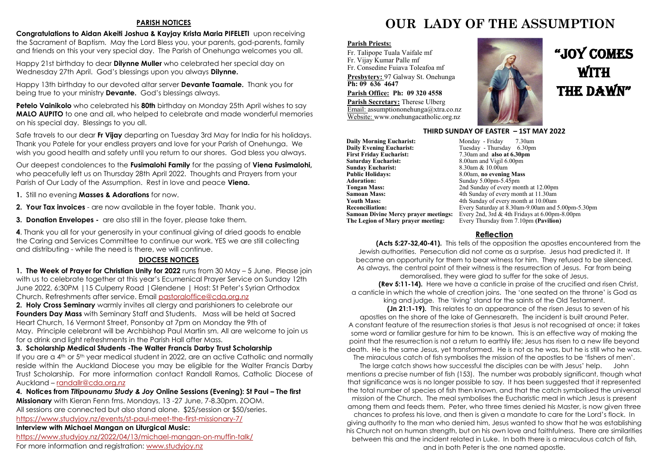#### **PARISH NOTICES**

**Congratulations to Aidan Akeiti Joshua & Kayjay Krista Maria PIFELETI** upon receiving the Sacrament of Baptism. May the Lord Bless you, your parents, god-parents, family and friends on this your very special day. The Parish of Onehunga welcomes you all.

Happy 21st birthday to dear **Dilynne Muller** who celebrated her special day on Wednesday 27th April. God's blessings upon you always **Dilynne.**

Happy 13th birthday to our devoted altar server **Devante Taamale.** Thank you for being true to your ministry **Devante.** God's blessings always.

**Petelo Vainikolo** who celebrated his **80th** birthday on Monday 25th April wishes to say **MALO AUPITO** to one and all, who helped to celebrate and made wonderful memories on his special day. Blessings to you all.

Safe travels to our dear **Fr Vijay** departing on Tuesday 3rd May for India for his holidays. Thank you Patele for your endless prayers and love for your Parish of Onehunga. We wish you good health and safety until you return to our shores. God bless you always.

Our deepest condolences to the **Fusimalohi Family** for the passing of **Viena Fusimalohi,** who peacefully left us on Thursday 28th April 2022. Thoughts and Prayers from your Parish of Our Lady of the Assumption. Rest in love and peace **Viena.** 

**1.** Still no evening **Masses & Adorations** for now.

**2. Your Tax invoices** - are now available in the foyer table. Thank you.

**3. Donation Envelopes -** are also still in the foyer, please take them.

**4**. Thank you all for your generosity in your continual giving of dried goods to enable the Caring and Services Committee to continue our work. YES we are still collecting and distributing - while the need is there, we will continue.

#### **DIOCESE NOTICES**

**1. The Week of Prayer for Christian Unity for 2022** runs from 30 May – 5 June. Please join with us to celebrate together at this year's Ecumenical Prayer Service on Sunday 12th June 2022, 6:30PM |15 Culperry Road |Glendene | Host: St Peter's Syrian Orthodox Church. Refreshments after service. Email [pastoraloffice@cda.org.nz](mailto:pastoraloffice@cda.org.nz)

**2. Holy Cross Seminary** warmly invites all clergy and parishioners to celebrate our **Founders Day Mass** with Seminary Staff and Students. Mass will be held at Sacred Heart Church, 16 Vermont Street, Ponsonby at 7pm on Monday the 9th of May. Principle celebrant will be Archbishop Paul Martin sm. All are welcome to join us for a drink and light refreshments in the Parish Hall after Mass.

#### **3. Scholarship Medical Students -The Walter Francis Darby Trust Scholarship**

If you are a 4<sup>th</sup> or 5<sup>th</sup> year medical student in 2022, are an active Catholic and normally reside within the Auckland Diocese you may be eligible for the Walter Francis Darby Trust Scholarship. For more information contact Randall Ramos, Catholic Diocese of Auckland – [randallr@cda.org.nz](mailto:randallr@cda.org.nz)

#### **4. Notices from** *Titipounamu Study & Joy* **Online Sessions (Evening): St Paul – The first**

**Missionary** with Kieran Fenn fms. Mondays, 13-27 June, 7-8.30pm. ZOOM. All sessions are connected but also stand alone. \$25/session or \$50/series. <https://www.studyjoy.nz/events/st-paul-meet-the-first-missionary-7/>

#### **Interview with Michael Mangan on Liturgical Music:**

<https://www.studyjoy.nz/2022/04/13/michael-mangan-on-muffin-talk/> For more information and registration: [www.studyjoy.nz](http://www.studyjoy.nz/)

### **OUR LADY OF THE ASSUMPTION**

#### **Parish Priests:**

Fr. Talipope Tuala Vaifale mf Fr. Vijay Kumar Palle mf Fr. Consedine Fuiava Toleafoa mf

**Presbytery:** 97 Galway St. Onehunga **Ph: 09 636 4647** 

#### **Parish Office: Ph: 09 320 4558**

**Parish Secretary:** Therese Ulberg Email: assumptiononehunga@xtra.co.nz Website: www.onehungacatholic.org.nz



## "JOY COMES **WITH** THE DAWN"

#### **THIRD SUNDAY OF EASTER – 1ST MAY 2022**

**Daily Morning Eucharist: Monday - Friday 7.30am**<br> **Daily Evening Eucharist:** Tuesday - Thursday 6.30pm **Daily Evening Eucharist:** Tuesday - Thursday 6.30pm<br>First Friday Eucharist: 7.30am and also at 6.30pm **First Friday Eucharist:** 7.30am and **also at 6.30pm**<br>**Saturday Eucharist:** 8.00am and Vigil 6.00pm **Sunday Eucharist:**<br>Public Holidays: **Public Holidays:** 8.00am, **no evening Mass**<br>**Adoration:** Sunday 5.00pm-5.45pm **Adoration:** Sunday 5.00pm-5.45pm<br> **Tongan Mass:** 2nd Sunday of every mo **Tongan Mass:** 2nd Sunday of every month at 12.00pm<br> **Samoan Mass:** 4th Sunday of every month at 11.30am **Samoan Mass:** 4th Sunday of every month at 11.30am<br> **Youth Mass:** 4th Sunday of every month at 10.00am **Youth Mass:** 4th Sunday of every month at 10.00am<br> **Reconciliation:** Every Saturday at 8.30am-9.00am and :

8.00am and Vigil 6.00pm<br>8.30am & 10.00am **Reconciliation:** Every Saturday at 8.30am-9.00am and 5.00pm-5.30pm **Samoan Divine Mercy prayer meetings:** Every 2nd, 3rd & 4th Fridays at 6.00pm-8.00pm<br>**The Legion of Mary prayer meeting:** Every Thursday from 7.10pm (Pavilion) Every Thursday from 7.10pm **(Pavilion)** 

#### **Reflection**

**(Acts 5:27-32,40-41).** This tells of the opposition the apostles encountered from the Jewish authorities. Persecution did not come as a surprise. Jesus had predicted it. It became an opportunity for them to bear witness for him. They refused to be silenced. As always, the central point of their witness is the resurrection of Jesus. Far from being

demoralised, they were glad to suffer for the sake of Jesus. **(Rev 5:11-14).** Here we have a canticle in praise of the crucified and risen Christ,

a canticle in which the whole of creation joins. The 'one seated on the throne' is God as king and judge. The 'living' stand for the saints of the Old Testament.

**(Jn 21:1-19).** This relates to an appearance of the risen Jesus to seven of his apostles on the shore of the lake of Gennesareth. The incident is built around Peter. A constant feature of the resurrection stories is that Jesus is not recognised at once; it takes some word or familiar gesture for him to be known. This is an effective way of making the point that the resurrection is not a return to earthly life; Jesus has risen to a new life beyond death. He is the same Jesus, yet transformed. He is not as he was, but he is still who he was.

The miraculous catch of fish symbolises the mission of the apostles to be 'fishers of men'. The large catch shows how successful the disciples can be with Jesus' help. John mentions a precise number of fish (153). The number was probably significant, though what that significance was is no longer possible to say. It has been suggested that it represented the total number of species of fish then known, and that the catch symbolised the universal mission of the Church. The meal symbolises the Eucharistic meal in which Jesus is present among them and feeds them. Peter, who three times denied his Master, is now given three chances to profess his love, and then is given a mandate to care for the Lord's flock. In giving authority to the man who denied him, Jesus wanted to show that he was establishing his Church not on human strength, but on his own love and faithfulness. There are similarities between this and the incident related in Luke. In both there is a miraculous catch of fish, and in both Peter is the one named apostle.